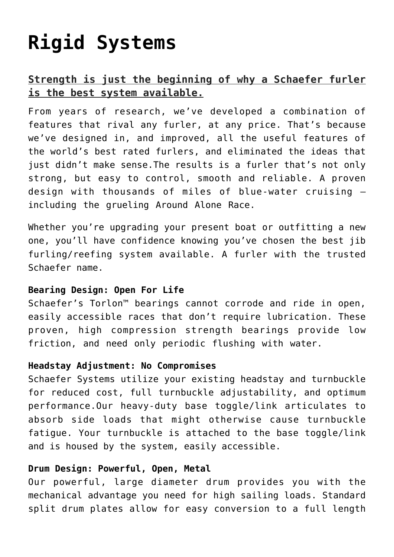# **[Rigid Systems](https://www.schaefermarine.com/our-products/jib-furlers/rigid-systems/)**

## **Strength is just the beginning of why a Schaefer furler is the best system available.**

From years of research, we've developed a combination of features that rival any furler, at any price. That's because we've designed in, and improved, all the useful features of the world's best rated furlers, and eliminated the ideas that just didn't make sense.The results is a furler that's not only strong, but easy to control, smooth and reliable. A proven design with thousands of miles of blue-water cruising – including the grueling Around Alone Race.

Whether you're upgrading your present boat or outfitting a new one, you'll have confidence knowing you've chosen the best jib furling/reefing system available. A furler with the trusted Schaefer name.

#### **Bearing Design: Open For Life**

Schaefer's Torlon™ bearings cannot corrode and ride in open, easily accessible races that don't require lubrication. These proven, high compression strength bearings provide low friction, and need only periodic flushing with water.

#### **Headstay Adjustment: No Compromises**

Schaefer Systems utilize your existing headstay and turnbuckle for reduced cost, full turnbuckle adjustability, and optimum performance.Our heavy-duty base toggle/link articulates to absorb side loads that might otherwise cause turnbuckle fatigue. Your turnbuckle is attached to the base toggle/link and is housed by the system, easily accessible.

### **Drum Design: Powerful, Open, Metal**

Our powerful, large diameter drum provides you with the mechanical advantage you need for high sailing loads. Standard split drum plates allow for easy conversion to a full length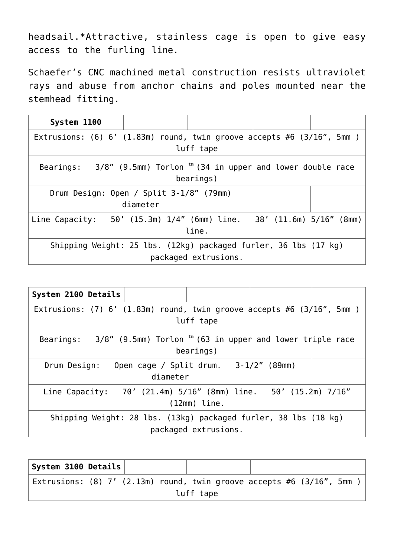headsail.\*Attractive, stainless cage is open to give easy access to the furling line.

Schaefer's CNC machined metal construction resists ultraviolet rays and abuse from anchor chains and poles mounted near the stemhead fitting.

| System 1100                                                                                    |                                                     |       |  |  |  |
|------------------------------------------------------------------------------------------------|-----------------------------------------------------|-------|--|--|--|
| Extrusions: $(6) 6'$ $(1.83m)$ round, twin groove accepts #6 $(3/16", 5mm)$                    |                                                     |       |  |  |  |
|                                                                                                | luff tape                                           |       |  |  |  |
| Bearings: $3/8$ " (9.5mm) Torlon <sup>tm</sup> (34 in upper and lower double race<br>bearings) |                                                     |       |  |  |  |
|                                                                                                | Drum Design: Open / Split 3-1/8" (79mm)<br>diameter |       |  |  |  |
| Line Capacity: 50' (15.3m) 1/4" (6mm) line. 38' (11.6m) 5/16" (8mm)                            |                                                     | line. |  |  |  |
| Shipping Weight: 25 lbs. (12kg) packaged furler, 36 lbs (17 kg)<br>packaged extrusions.        |                                                     |       |  |  |  |

| System 2100 Details                                                                     |           |                                                                              |  |  |  |
|-----------------------------------------------------------------------------------------|-----------|------------------------------------------------------------------------------|--|--|--|
|                                                                                         |           | Extrusions: $(7)$ 6' $(1.83m)$ round, twin groove accepts #6 $(3/16"$ , 5mm) |  |  |  |
|                                                                                         | luff tape |                                                                              |  |  |  |
| Bearings: $3/8$ " (9.5mm) Torlon $t$ m (63 in upper and lower triple race<br>bearings)  |           |                                                                              |  |  |  |
| Drum Design:                                                                            |           | Open cage / Split drum. 3-1/2" (89mm)<br>diameter                            |  |  |  |
| Line Capacity: 70' (21.4m) 5/16" (8mm) line. 50' (15.2m) 7/16"<br>$(12mm)$ line.        |           |                                                                              |  |  |  |
| Shipping Weight: 28 lbs. (13kg) packaged furler, 38 lbs (18 kg)<br>packaged extrusions. |           |                                                                              |  |  |  |

| $\mid$ System 3100 Details $\mid$                                           |  |           |  |  |  |
|-----------------------------------------------------------------------------|--|-----------|--|--|--|
| Extrusions: $(8)$ 7' $(2.13m)$ round, twin groove accepts #6 $(3/16"$ , 5mm |  |           |  |  |  |
|                                                                             |  | luff tape |  |  |  |